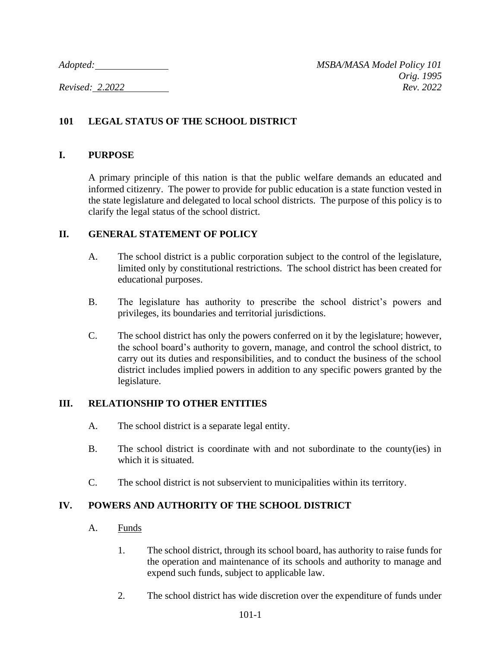# **101 LEGAL STATUS OF THE SCHOOL DISTRICT**

### **I. PURPOSE**

A primary principle of this nation is that the public welfare demands an educated and informed citizenry. The power to provide for public education is a state function vested in the state legislature and delegated to local school districts. The purpose of this policy is to clarify the legal status of the school district.

### **II. GENERAL STATEMENT OF POLICY**

- A. The school district is a public corporation subject to the control of the legislature, limited only by constitutional restrictions. The school district has been created for educational purposes.
- B. The legislature has authority to prescribe the school district's powers and privileges, its boundaries and territorial jurisdictions.
- C. The school district has only the powers conferred on it by the legislature; however, the school board's authority to govern, manage, and control the school district, to carry out its duties and responsibilities, and to conduct the business of the school district includes implied powers in addition to any specific powers granted by the legislature.

### **III. RELATIONSHIP TO OTHER ENTITIES**

- A. The school district is a separate legal entity.
- B. The school district is coordinate with and not subordinate to the county(ies) in which it is situated.
- C. The school district is not subservient to municipalities within its territory.

## **IV. POWERS AND AUTHORITY OF THE SCHOOL DISTRICT**

- A. Funds
	- 1. The school district, through its school board, has authority to raise funds for the operation and maintenance of its schools and authority to manage and expend such funds, subject to applicable law.
	- 2. The school district has wide discretion over the expenditure of funds under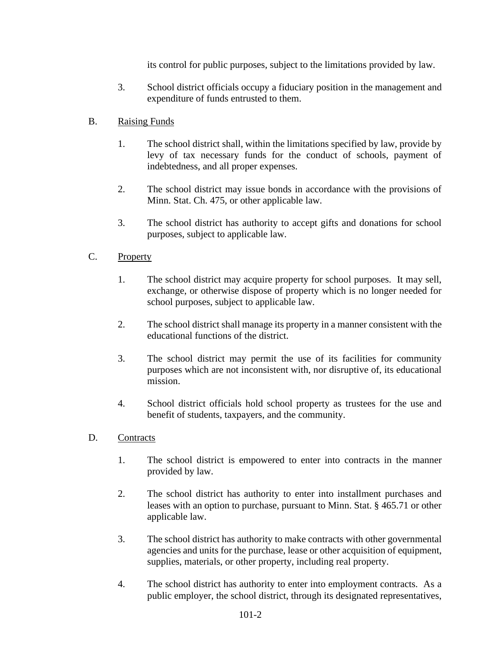its control for public purposes, subject to the limitations provided by law.

- 3. School district officials occupy a fiduciary position in the management and expenditure of funds entrusted to them.
- B. Raising Funds
	- 1. The school district shall, within the limitations specified by law, provide by levy of tax necessary funds for the conduct of schools, payment of indebtedness, and all proper expenses.
	- 2. The school district may issue bonds in accordance with the provisions of Minn. Stat. Ch. 475, or other applicable law.
	- 3. The school district has authority to accept gifts and donations for school purposes, subject to applicable law.

### C. Property

- 1. The school district may acquire property for school purposes. It may sell, exchange, or otherwise dispose of property which is no longer needed for school purposes, subject to applicable law.
- 2. The school district shall manage its property in a manner consistent with the educational functions of the district.
- 3. The school district may permit the use of its facilities for community purposes which are not inconsistent with, nor disruptive of, its educational mission.
- 4. School district officials hold school property as trustees for the use and benefit of students, taxpayers, and the community.
- D. Contracts
	- 1. The school district is empowered to enter into contracts in the manner provided by law.
	- 2. The school district has authority to enter into installment purchases and leases with an option to purchase, pursuant to Minn. Stat. § 465.71 or other applicable law.
	- 3. The school district has authority to make contracts with other governmental agencies and units for the purchase, lease or other acquisition of equipment, supplies, materials, or other property, including real property.
	- 4. The school district has authority to enter into employment contracts. As a public employer, the school district, through its designated representatives,